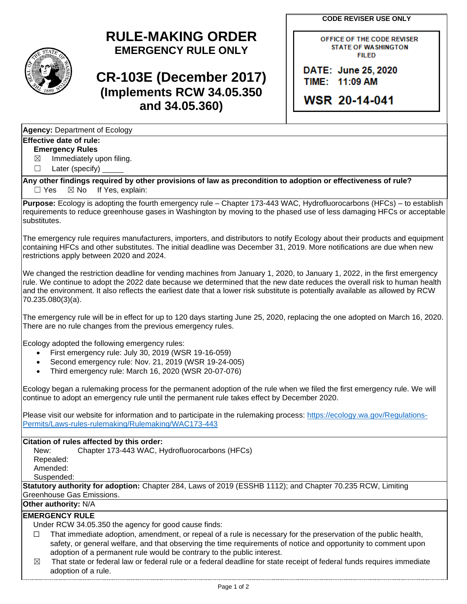**CODE REVISER USE ONLY**

# **RULE-MAKING ORDER EMERGENCY RULE ONLY**

# **CR-103E (December 2017) (Implements RCW 34.05.350 and 34.05.360)**

OFFICE OF THE CODE REVISER **STATE OF WASHINGTON FILED** 

DATE: June 25, 2020 TIME: 11:09 AM

WSR 20-14-041

|--|

### **Effective date of rule:**

**Emergency Rules**

 $\boxtimes$  Immediately upon filing.

☐ Later (specify)

**Any other findings required by other provisions of law as precondition to adoption or effectiveness of rule?**  $\Box$  Yes  $\boxtimes$  No If Yes, explain:

**Purpose:** Ecology is adopting the fourth emergency rule – Chapter 173-443 WAC, Hydrofluorocarbons (HFCs) – to establish requirements to reduce greenhouse gases in Washington by moving to the phased use of less damaging HFCs or acceptable substitutes.

The emergency rule requires manufacturers, importers, and distributors to notify Ecology about their products and equipment containing HFCs and other substitutes. The initial deadline was December 31, 2019. More notifications are due when new restrictions apply between 2020 and 2024.

We changed the restriction deadline for vending machines from January 1, 2020, to January 1, 2022, in the first emergency rule. We continue to adopt the 2022 date because we determined that the new date reduces the overall risk to human health and the environment. It also reflects the earliest date that a lower risk substitute is potentially available as allowed by RCW 70.235.080(3)(a).

The emergency rule will be in effect for up to 120 days starting June 25, 2020, replacing the one adopted on March 16, 2020. There are no rule changes from the previous emergency rules.

Ecology adopted the following emergency rules:

- First emergency rule: July 30, 2019 (WSR 19-16-059)
- Second emergency rule: Nov. 21, 2019 (WSR 19-24-005)
- Third emergency rule: March 16, 2020 (WSR 20-07-076)

Ecology began a rulemaking process for the permanent adoption of the rule when we filed the first emergency rule. We will continue to adopt an emergency rule until the permanent rule takes effect by December 2020.

Please visit our website for information and to participate in the rulemaking process: [https://ecology.wa.gov/Regulations-](https://ecology.wa.gov/Regulations-Permits/Laws-rules-rulemaking/Rulemaking/WAC173-443)[Permits/Laws-rules-rulemaking/Rulemaking/WAC173-443](https://ecology.wa.gov/Regulations-Permits/Laws-rules-rulemaking/Rulemaking/WAC173-443)

#### **Citation of rules affected by this order:**

New: Chapter 173-443 WAC, Hydrofluorocarbons (HFCs) Repealed: Amended: Suspended:

**Statutory authority for adoption:** Chapter 284, Laws of 2019 (ESSHB 1112); and Chapter 70.235 RCW, Limiting Greenhouse Gas Emissions.

## **Other authority:** N/A

### **EMERGENCY RULE**

Under RCW 34.05.350 the agency for good cause finds:

- $\Box$  That immediate adoption, amendment, or repeal of a rule is necessary for the preservation of the public health, safety, or general welfare, and that observing the time requirements of notice and opportunity to comment upon adoption of a permanent rule would be contrary to the public interest.
- $\boxtimes$  That state or federal law or federal rule or a federal deadline for state receipt of federal funds requires immediate adoption of a rule.